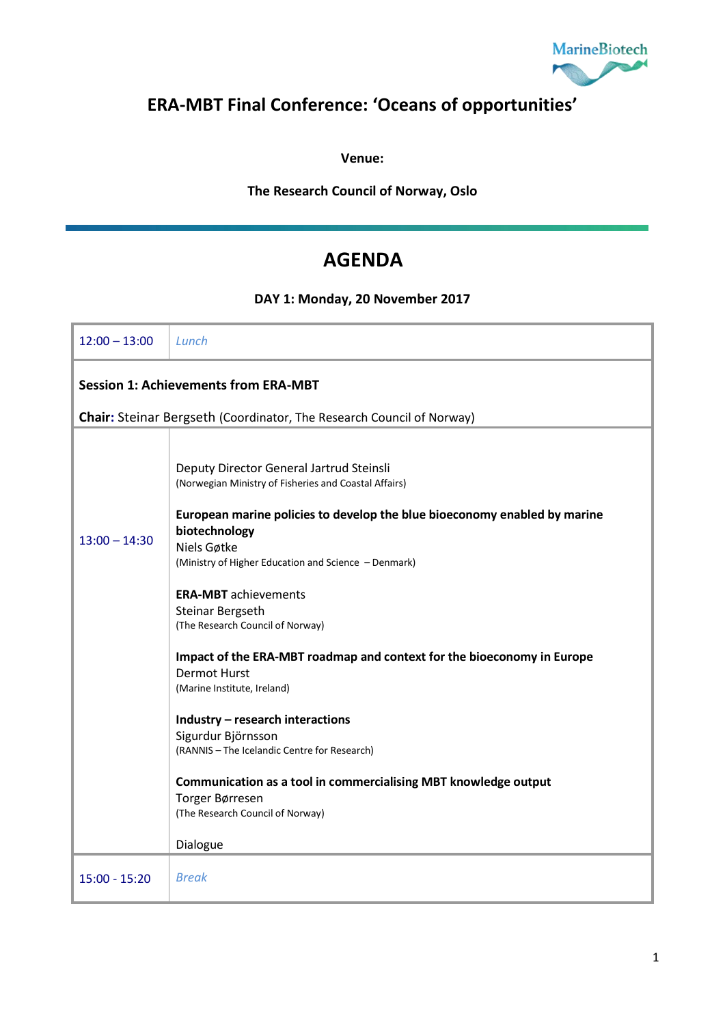

## **ERA-MBT Final Conference: 'Oceans of opportunities'**

**Venue:** 

**The Research Council of Norway, Oslo**

## **AGENDA**

**DAY 1: Monday, 20 November 2017**

| $12:00 - 13:00$                                                       | Lunch                                                                                                                                                                                                                                                                                                                                                         |  |  |
|-----------------------------------------------------------------------|---------------------------------------------------------------------------------------------------------------------------------------------------------------------------------------------------------------------------------------------------------------------------------------------------------------------------------------------------------------|--|--|
| <b>Session 1: Achievements from ERA-MBT</b>                           |                                                                                                                                                                                                                                                                                                                                                               |  |  |
| Chair: Steinar Bergseth (Coordinator, The Research Council of Norway) |                                                                                                                                                                                                                                                                                                                                                               |  |  |
| $13:00 - 14:30$                                                       | Deputy Director General Jartrud Steinsli<br>(Norwegian Ministry of Fisheries and Coastal Affairs)<br>European marine policies to develop the blue bioeconomy enabled by marine<br>biotechnology<br>Niels Gøtke<br>(Ministry of Higher Education and Science - Denmark)<br><b>ERA-MBT</b> achievements<br>Steinar Bergseth<br>(The Research Council of Norway) |  |  |
|                                                                       | Impact of the ERA-MBT roadmap and context for the bioeconomy in Europe<br><b>Dermot Hurst</b><br>(Marine Institute, Ireland)                                                                                                                                                                                                                                  |  |  |
|                                                                       | Industry - research interactions<br>Sigurdur Björnsson<br>(RANNIS - The Icelandic Centre for Research)                                                                                                                                                                                                                                                        |  |  |
|                                                                       | Communication as a tool in commercialising MBT knowledge output<br>Torger Børresen<br>(The Research Council of Norway)                                                                                                                                                                                                                                        |  |  |
|                                                                       | Dialogue                                                                                                                                                                                                                                                                                                                                                      |  |  |
| $15:00 - 15:20$                                                       | <b>Break</b>                                                                                                                                                                                                                                                                                                                                                  |  |  |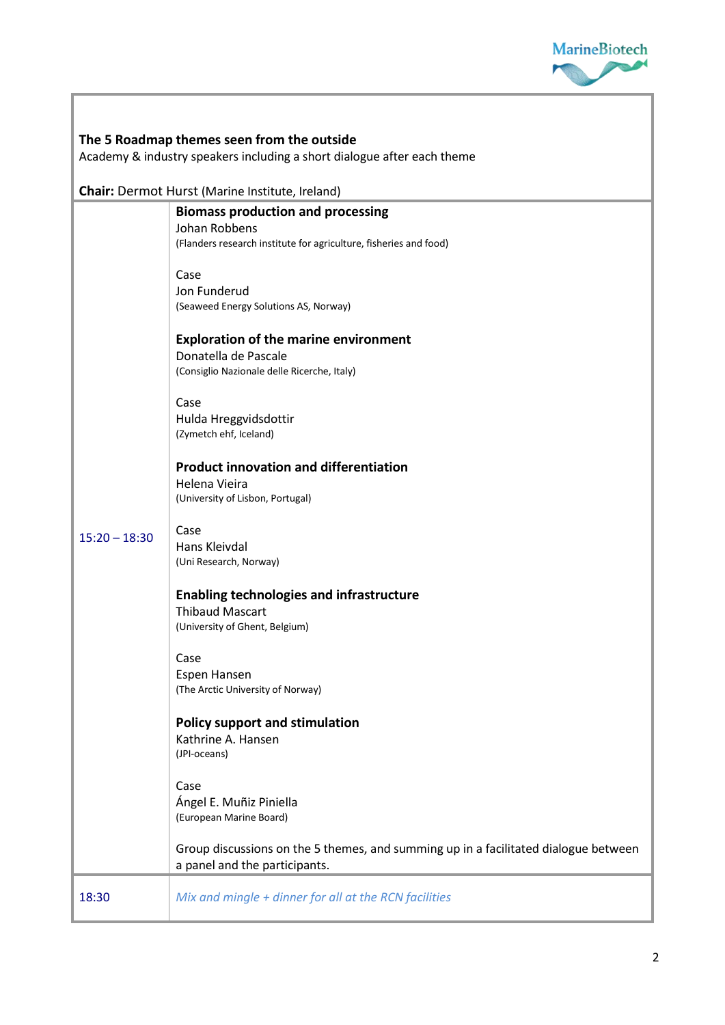

| The 5 Roadmap themes seen from the outside<br>Academy & industry speakers including a short dialogue after each theme |                                                                                                                                |  |
|-----------------------------------------------------------------------------------------------------------------------|--------------------------------------------------------------------------------------------------------------------------------|--|
|                                                                                                                       | <b>Chair:</b> Dermot Hurst (Marine Institute, Ireland)                                                                         |  |
|                                                                                                                       | <b>Biomass production and processing</b><br>Johan Robbens<br>(Flanders research institute for agriculture, fisheries and food) |  |
| $15:20 - 18:30$                                                                                                       | Case<br>Jon Funderud<br>(Seaweed Energy Solutions AS, Norway)                                                                  |  |
|                                                                                                                       | <b>Exploration of the marine environment</b><br>Donatella de Pascale<br>(Consiglio Nazionale delle Ricerche, Italy)            |  |
|                                                                                                                       | Case<br>Hulda Hreggvidsdottir<br>(Zymetch ehf, Iceland)                                                                        |  |
|                                                                                                                       | <b>Product innovation and differentiation</b><br>Helena Vieira<br>(University of Lisbon, Portugal)                             |  |
|                                                                                                                       | Case<br>Hans Kleivdal<br>(Uni Research, Norway)                                                                                |  |
|                                                                                                                       | <b>Enabling technologies and infrastructure</b><br><b>Thibaud Mascart</b><br>(University of Ghent, Belgium)                    |  |
|                                                                                                                       | Case<br>Espen Hansen<br>(The Arctic University of Norway)                                                                      |  |
|                                                                                                                       | <b>Policy support and stimulation</b><br>Kathrine A. Hansen<br>(JPI-oceans)                                                    |  |
|                                                                                                                       | Case<br>Ángel E. Muñiz Piniella<br>(European Marine Board)                                                                     |  |
|                                                                                                                       | Group discussions on the 5 themes, and summing up in a facilitated dialogue between<br>a panel and the participants.           |  |
| 18:30                                                                                                                 | Mix and mingle + dinner for all at the RCN facilities                                                                          |  |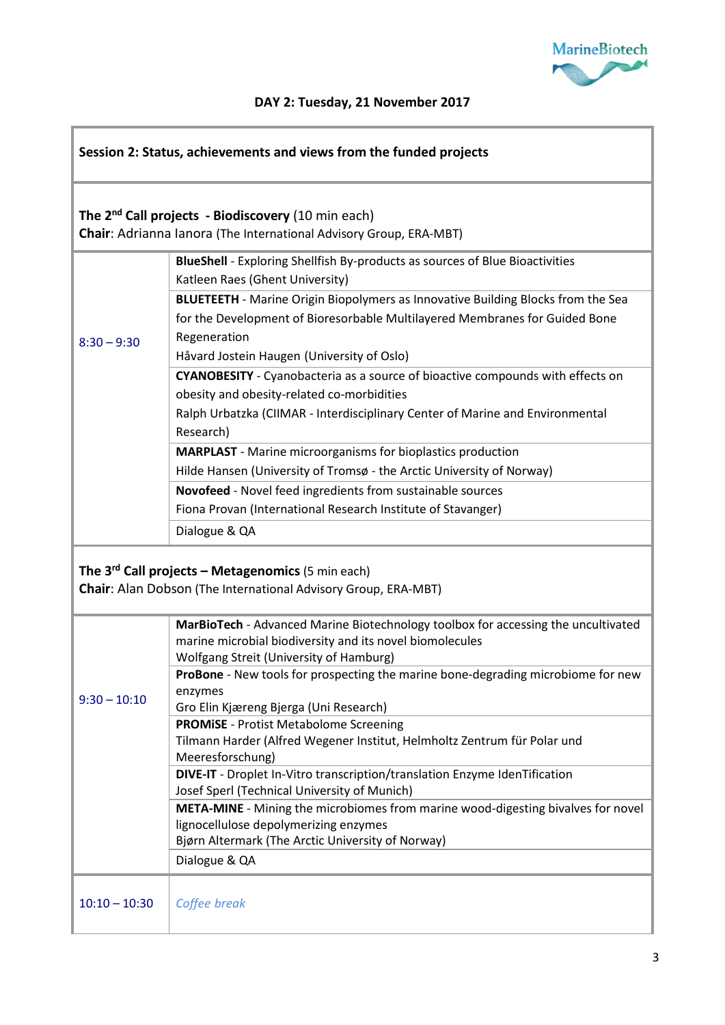

## **DAY 2: Tuesday, 21 November 2017**

| Session 2: Status, achievements and views from the funded projects                                                                   |                                                                                                                                                                                                                |  |
|--------------------------------------------------------------------------------------------------------------------------------------|----------------------------------------------------------------------------------------------------------------------------------------------------------------------------------------------------------------|--|
| The 2 <sup>nd</sup> Call projects - Biodiscovery (10 min each)<br>Chair: Adrianna Ianora (The International Advisory Group, ERA-MBT) |                                                                                                                                                                                                                |  |
|                                                                                                                                      | BlueShell - Exploring Shellfish By-products as sources of Blue Bioactivities<br>Katleen Raes (Ghent University)<br><b>BLUETEETH</b> - Marine Origin Biopolymers as Innovative Building Blocks from the Sea     |  |
| $8:30 - 9:30$                                                                                                                        | for the Development of Bioresorbable Multilayered Membranes for Guided Bone<br>Regeneration<br>Håvard Jostein Haugen (University of Oslo)                                                                      |  |
|                                                                                                                                      | CYANOBESITY - Cyanobacteria as a source of bioactive compounds with effects on<br>obesity and obesity-related co-morbidities<br>Ralph Urbatzka (CIIMAR - Interdisciplinary Center of Marine and Environmental  |  |
|                                                                                                                                      | Research)<br><b>MARPLAST</b> - Marine microorganisms for bioplastics production<br>Hilde Hansen (University of Tromsø - the Arctic University of Norway)                                                       |  |
|                                                                                                                                      | Novofeed - Novel feed ingredients from sustainable sources<br>Fiona Provan (International Research Institute of Stavanger)                                                                                     |  |
|                                                                                                                                      | Dialogue & QA                                                                                                                                                                                                  |  |
| The $3^{rd}$ Call projects – Metagenomics (5 min each)<br><b>Chair:</b> Alan Dobson (The International Advisory Group, ERA-MBT)      |                                                                                                                                                                                                                |  |
|                                                                                                                                      | MarBioTech - Advanced Marine Biotechnology toolbox for accessing the uncultivated<br>marine microbial biodiversity and its novel biomolecules<br>Wolfgang Streit (University of Hamburg)                       |  |
| $9:30 - 10:10$                                                                                                                       | ProBone - New tools for prospecting the marine bone-degrading microbiome for new<br>enzymes<br>Gro Elin Kjæreng Bjerga (Uni Research)                                                                          |  |
|                                                                                                                                      | <b>PROMISE</b> - Protist Metabolome Screening<br>Tilmann Harder (Alfred Wegener Institut, Helmholtz Zentrum für Polar und<br>Meeresforschung)                                                                  |  |
|                                                                                                                                      | DIVE-IT - Droplet In-Vitro transcription/translation Enzyme IdenTification<br>Josef Sperl (Technical University of Munich)<br>META-MINE - Mining the microbiomes from marine wood-digesting bivalves for novel |  |
|                                                                                                                                      | lignocellulose depolymerizing enzymes<br>Bjørn Altermark (The Arctic University of Norway)<br>Dialogue & QA                                                                                                    |  |
| $10:10 - 10:30$                                                                                                                      | Coffee break                                                                                                                                                                                                   |  |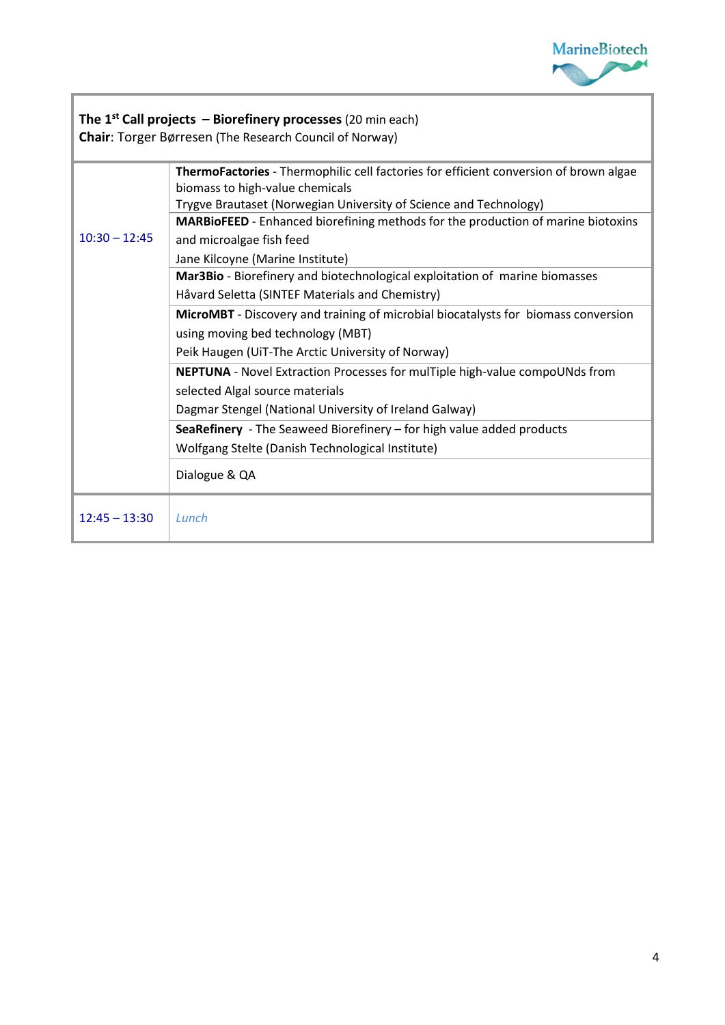

ī

| The 1 <sup>st</sup> Call projects - Biorefinery processes (20 min each)<br><b>Chair: Torger Børresen (The Research Council of Norway)</b> |                                                                                                                          |  |
|-------------------------------------------------------------------------------------------------------------------------------------------|--------------------------------------------------------------------------------------------------------------------------|--|
| $10:30 - 12:45$                                                                                                                           | ThermoFactories - Thermophilic cell factories for efficient conversion of brown algae<br>biomass to high-value chemicals |  |
|                                                                                                                                           | Trygve Brautaset (Norwegian University of Science and Technology)                                                        |  |
|                                                                                                                                           | MARBioFEED - Enhanced biorefining methods for the production of marine biotoxins                                         |  |
|                                                                                                                                           | and microalgae fish feed                                                                                                 |  |
|                                                                                                                                           | Jane Kilcoyne (Marine Institute)                                                                                         |  |
|                                                                                                                                           | Mar3Bio - Biorefinery and biotechnological exploitation of marine biomasses                                              |  |
|                                                                                                                                           | Håvard Seletta (SINTEF Materials and Chemistry)                                                                          |  |
|                                                                                                                                           | MicroMBT - Discovery and training of microbial biocatalysts for biomass conversion                                       |  |
|                                                                                                                                           | using moving bed technology (MBT)                                                                                        |  |
|                                                                                                                                           | Peik Haugen (UiT-The Arctic University of Norway)                                                                        |  |
|                                                                                                                                           | <b>NEPTUNA</b> - Novel Extraction Processes for mulTiple high-value compoUNds from                                       |  |
|                                                                                                                                           | selected Algal source materials                                                                                          |  |
|                                                                                                                                           | Dagmar Stengel (National University of Ireland Galway)                                                                   |  |
|                                                                                                                                           | SeaRefinery - The Seaweed Biorefinery - for high value added products                                                    |  |
|                                                                                                                                           | Wolfgang Stelte (Danish Technological Institute)                                                                         |  |
|                                                                                                                                           | Dialogue & QA                                                                                                            |  |
| $12:45 - 13:30$                                                                                                                           | Lunch                                                                                                                    |  |

Г